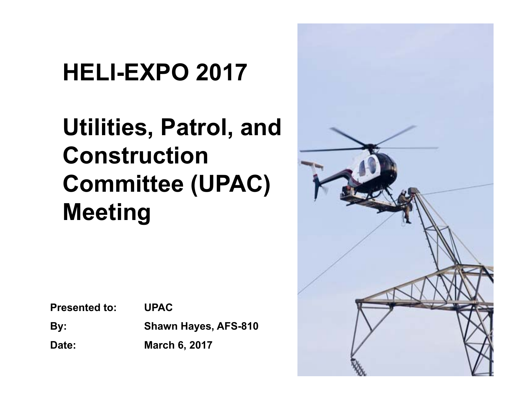### **HELI-EXPO 2017**

#### **Utilities, Patrol, and Construction Committee (UPAC) Meeting**

**Presented to: UPAC** 

**By: Shawn Hayes, AFS-810**

**Date: March 6, 2017**

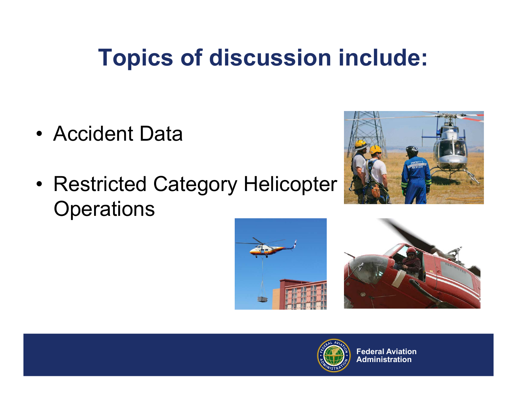#### **Topics of discussion include:**

- Accident Data
- • Restricted Category Helicopter **Operations**







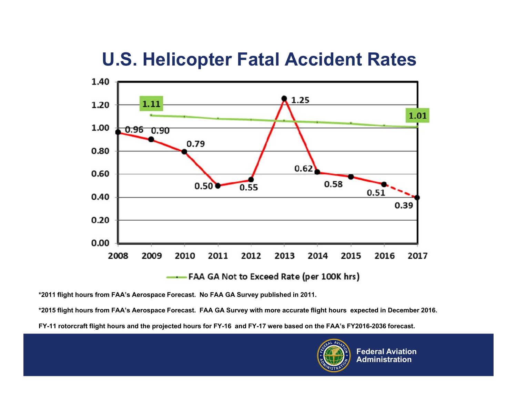#### **U.S. Helicopter Fatal Accident Rates**



**\*2011 flight hours from FAA's Aerospace Forecast. No FAA GA Survey published in 2011.**

**\*2015 flight hours from FAA's Aerospace Forecast. FAA GA Survey with more accurate flight hours expected in December 2016.**

**FY-11 rotorcraft flight hours and the projected hours for FY-16 and FY-17 were based on the FAA's FY2016-2036 forecast.**

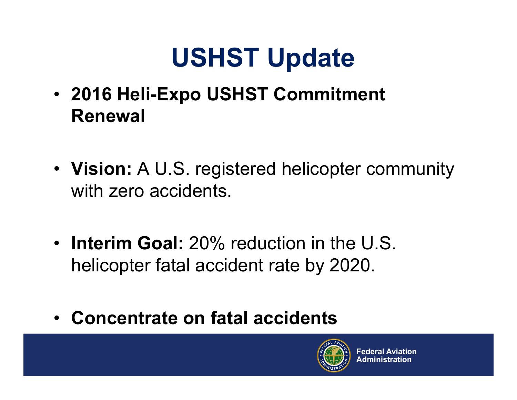# **USHST Update**

- **2016 Heli-Expo USHST Commitment Renewal**
- **Vision:** A U.S. registered helicopter community with zero accidents.
- **Interim Goal:** 20% reduction in the U.S. helicopter fatal accident rate by 2020.
- **Concentrate on fatal accidents**

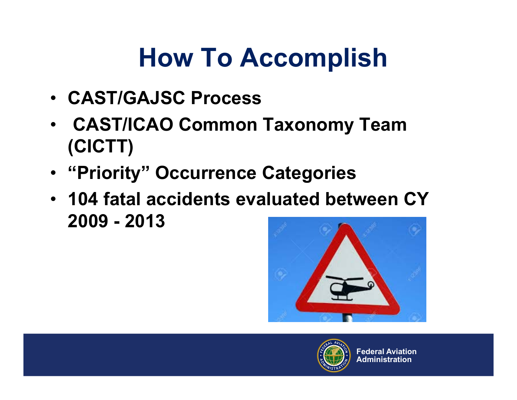# **How To Accomplish**

- **CAST/GAJSC Process**
- **CAST/ICAO Common Taxonomy Team (CICTT)**
- **"Priority" Occurrence Categories**
- **104 fatal accidents evaluated between CY 2009 - 2013**



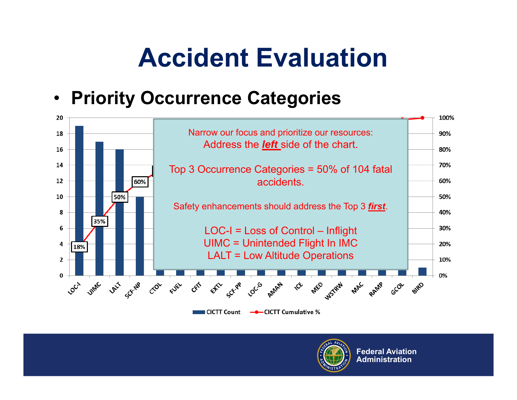# **Accident Evaluation**

#### $\bullet$ **Priority Occurrence Categories**



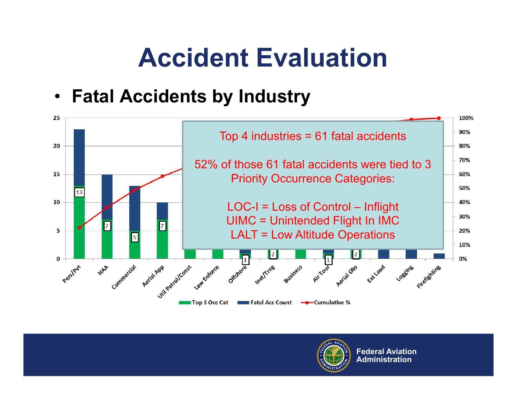# **Accident Evaluation**

 $\bullet$ **Fatal Accidents by Industry**



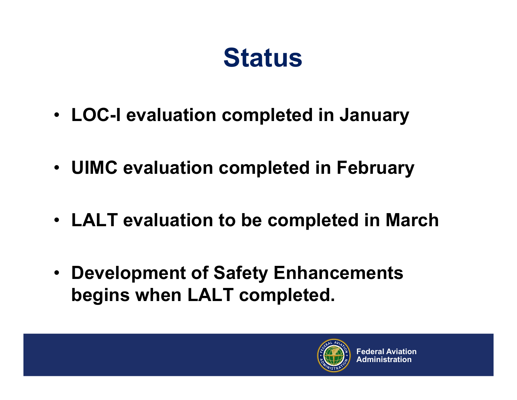# **Status**

- **LOC-I evaluation completed in January**
- **UIMC evaluation completed in February**
- **LALT evaluation to be completed in March**
- **Development of Safety Enhancements begins when LALT completed.**

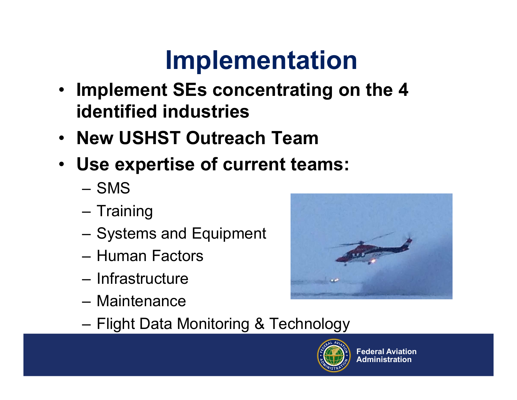# **Implementation**

- $\bullet$  **Implement SEs concentrating on the 4 identified industries**
- **New USHST Outreach Team**
- **Use expertise of current teams:**
	- SMS
	- Training
	- Systems and Equipment
	- Human Factors
	- Infrastructure
	- Maintenance



–Flight Data Monitoring & Technology

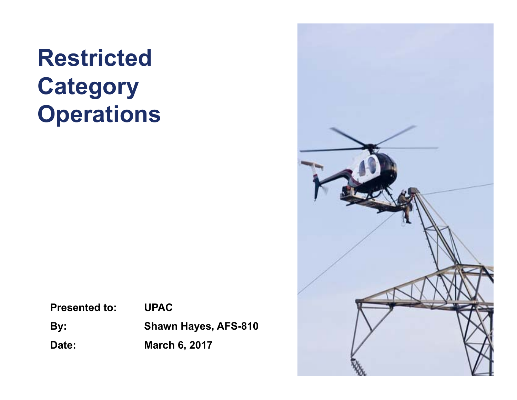#### **Restricted Category Operations**

**Presented to: UPAC** 

**By: Shawn Hayes, AFS-810**

**Date: March 6, 2017**

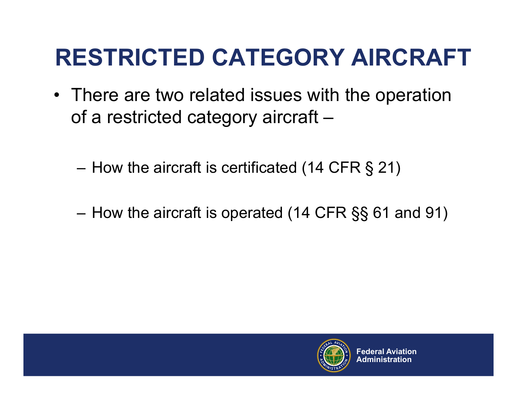#### **RESTRICTED CATEGORY AIRCRAFT**

- There are two related issues with the operation of a restricted category aircraft –
	- –How the aircraft is certificated (14 CFR § 21)
	- –How the aircraft is operated (14 CFR §§ 61 and 91)

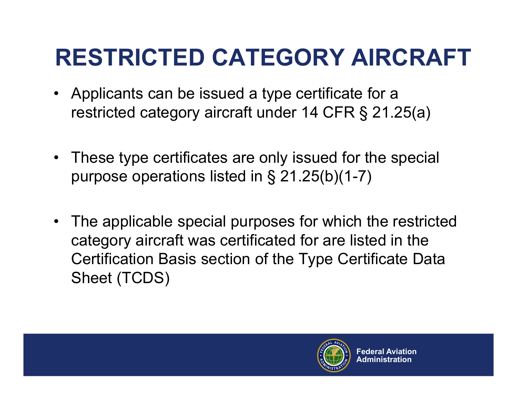### **RESTRICTED CATEGORY AIRCRAFT**

- Applicants can be issued a type certificate for a restricted category aircraft under 14 CFR § 21.25(a)
- These type certificates are only issued for the special purpose operations listed in § 21.25(b)(1-7)
- The applicable special purposes for which the restricted category aircraft was certificated for are listed in the Certification Basis section of the Type Certificate Data Sheet (TCDS)

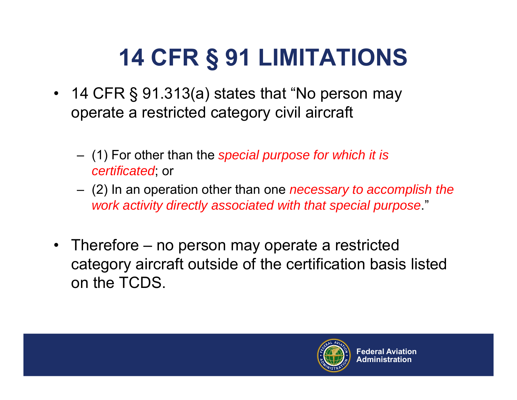# **14 CFR § 91 LIMITATIONS**

- 14 CFR § 91.313(a) states that "No person may operate a restricted category civil aircraft
	- (1) For other than the *special purpose for which it is certificated*; or
	- (2) In an operation other than one *necessary to accomplish the work activity directly associated with that special purpose*."
- Therefore no person may operate a restricted category aircraft outside of the certification basis listed on the TCDS.

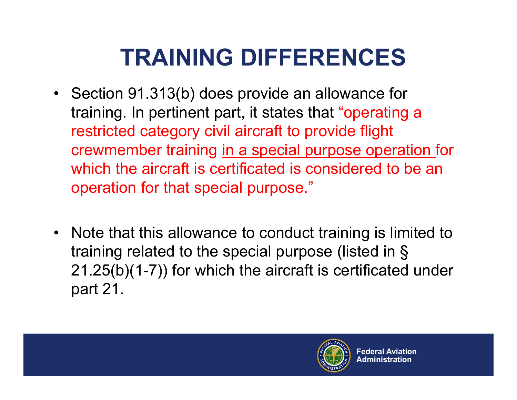### **TRAINING DIFFERENCES**

- Section 91.313(b) does provide an allowance for training. In pertinent part, it states that "operating a restricted category civil aircraft to provide flight crewmember training in a special purpose operation for which the aircraft is certificated is considered to be an operation for that special purpose."
- Note that this allowance to conduct training is limited to training related to the special purpose (listed in § 21.25(b)(1-7)) for which the aircraft is certificated under part 21.

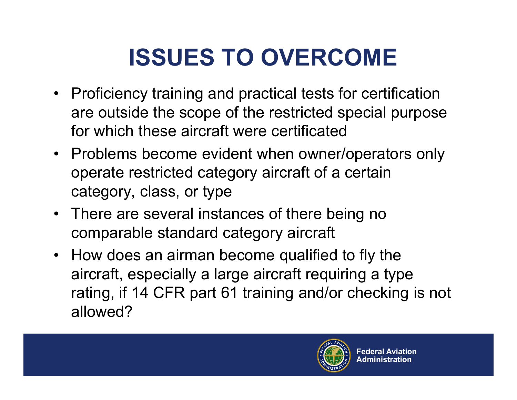# **ISSUES TO OVERCOME**

- Proficiency training and practical tests for certification are outside the scope of the restricted special purpose for which these aircraft were certificated
- Problems become evident when owner/operators only operate restricted category aircraft of a certain category, class, or type
- There are several instances of there being no comparable standard category aircraft
- How does an airman become qualified to fly the aircraft, especially a large aircraft requiring a type rating, if 14 CFR part 61 training and/or checking is not allowed?

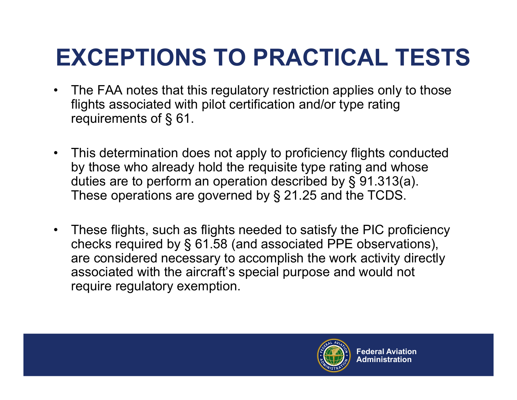# **EXCEPTIONS TO PRACTICAL TESTS**

- The FAA notes that this regulatory restriction applies only to those flights associated with pilot certification and/or type rating requirements of § 61.
- • This determination does not apply to proficiency flights conducted by those who already hold the requisite type rating and whose duties are to perform an operation described by § 91.313(a). These operations are governed by § 21.25 and the TCDS.
- These flights, such as flights needed to satisfy the PIC proficiency checks required by § 61.58 (and associated PPE observations), are considered necessary to accomplish the work activity directly associated with the aircraft's special purpose and would not require regulatory exemption.

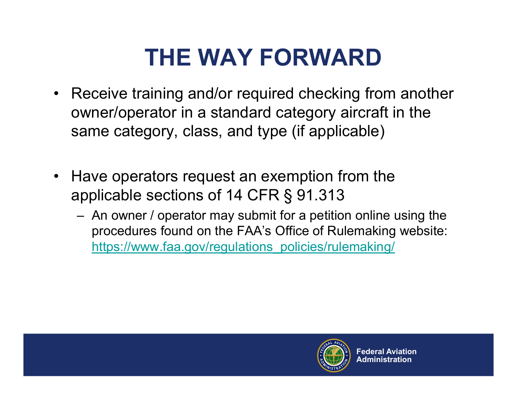# **THE WAY FORWARD**

- Receive training and/or required checking from another owner/operator in a standard category aircraft in the same category, class, and type (if applicable)
- • Have operators request an exemption from the applicable sections of 14 CFR § 91.313
	- An owner / operator may submit for a petition online using the procedures found on the FAA's Office of Rulemaking website: https://www.faa.gov/regulations\_policies/rulemaking/

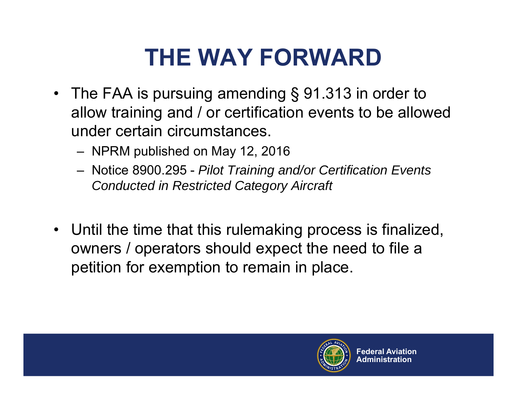# **THE WAY FORWARD**

- The FAA is pursuing amending § 91.313 in order to allow training and / or certification events to be allowed under certain circumstances.
	- NPRM published on May 12, 2016
	- Notice 8900.295 *Pilot Training and/or Certification Events Conducted in Restricted Category Aircraft*
- Until the time that this rulemaking process is finalized, owners / operators should expect the need to file a petition for exemption to remain in place.